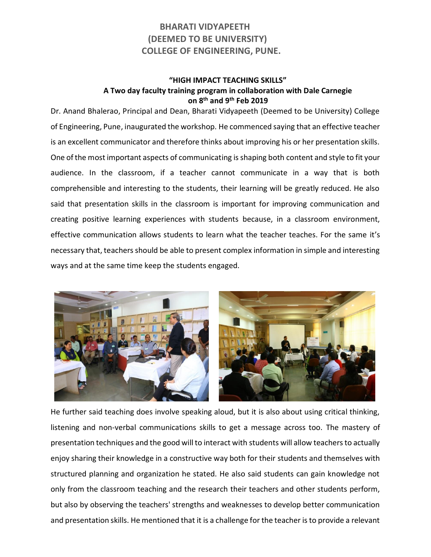## **BHARATI VIDYAPEETH (DEEMED TO BE UNIVERSITY) COLLEGE OF ENGINEERING, PUNE.**

## **"HIGH IMPACT TEACHING SKILLS" A Two day faculty training program in collaboration with Dale Carnegie on 8th and 9th Feb 2019**

Dr. Anand Bhalerao, Principal and Dean, Bharati Vidyapeeth (Deemed to be University) College of Engineering, Pune, inaugurated the workshop. He commenced saying that an effective teacher is an excellent communicator and therefore thinks about improving his or her presentation skills. One of the most important aspects of communicating is shaping both content and style to fit your audience. In the classroom, if a teacher cannot communicate in a way that is both comprehensible and interesting to the students, their learning will be greatly reduced. He also said that presentation skills in the classroom is important for improving communication and creating positive learning experiences with students because, in a classroom environment, effective communication allows students to learn what the teacher teaches. For the same it's necessary that, teachers should be able to present complex information in simple and interesting ways and at the same time keep the students engaged.



He further said teaching does involve speaking aloud, but it is also about using critical thinking, listening and non-verbal communications skills to get a message across too. The mastery of presentation techniques and the good will to interact with students will allow teachers to actually enjoy sharing their knowledge in a constructive way both for their students and themselves with structured planning and organization he stated. He also said students can gain knowledge not only from the classroom teaching and the research their teachers and other students perform, but also by observing the teachers' strengths and weaknesses to develop better communication and presentation skills. He mentioned that it is a challenge for the teacher is to provide a relevant